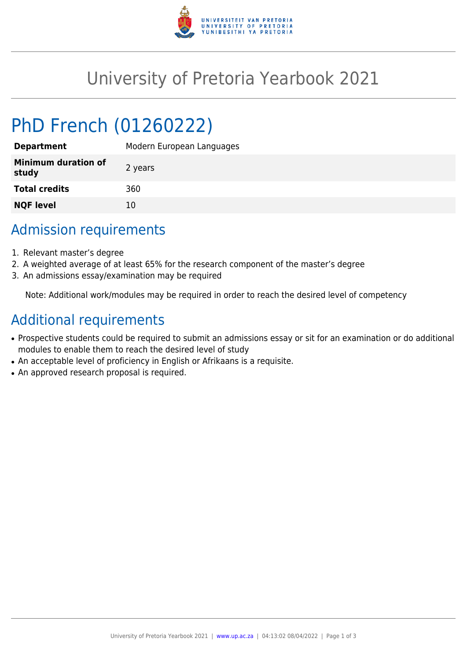

## University of Pretoria Yearbook 2021

# PhD French (01260222)

| Modern European Languages |
|---------------------------|
| 2 years                   |
| 360                       |
| 10                        |
|                           |

### Admission requirements

- 1. Relevant master's degree
- 2. A weighted average of at least 65% for the research component of the master's degree
- 3. An admissions essay/examination may be required

Note: Additional work/modules may be required in order to reach the desired level of competency

#### Additional requirements

- Prospective students could be required to submit an admissions essay or sit for an examination or do additional modules to enable them to reach the desired level of study
- An acceptable level of proficiency in English or Afrikaans is a requisite.
- An approved research proposal is required.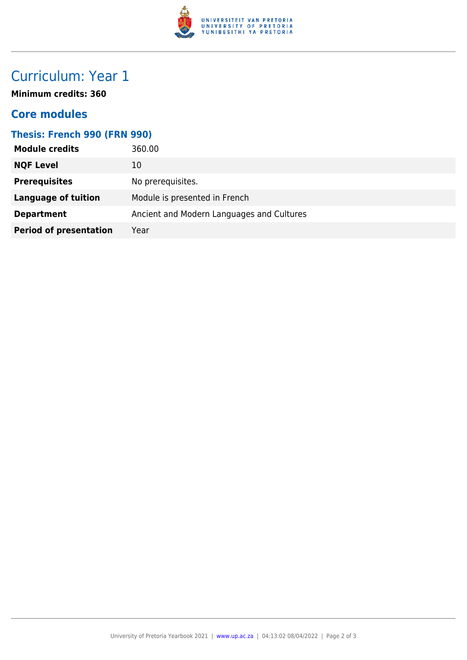

## Curriculum: Year 1

**Minimum credits: 360**

#### **Core modules**

| <b>Thesis: French 990 (FRN 990)</b> |                                           |  |
|-------------------------------------|-------------------------------------------|--|
| <b>Module credits</b>               | 360.00                                    |  |
| <b>NQF Level</b>                    | 10                                        |  |
| <b>Prerequisites</b>                | No prerequisites.                         |  |
| <b>Language of tuition</b>          | Module is presented in French             |  |
| <b>Department</b>                   | Ancient and Modern Languages and Cultures |  |
| <b>Period of presentation</b>       | Year                                      |  |